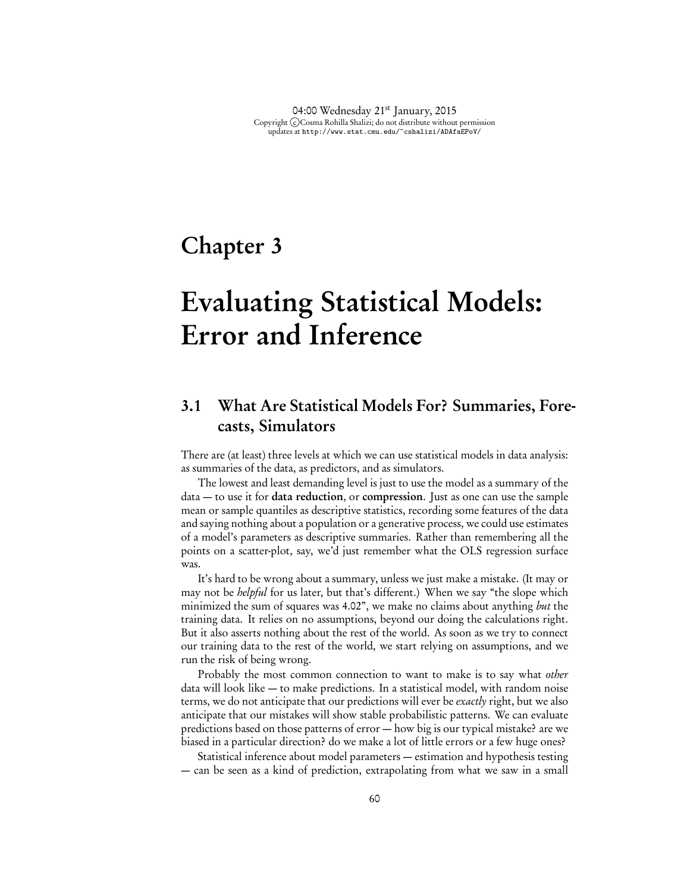## Chapter 3

# Evaluating Statistical Models: Error and Inference

## 3.1 What Are Statistical Models For? Summaries, Forecasts, Simulators

There are (at least) three levels at which we can use statistical models in data analysis: as summaries of the data, as predictors, and as simulators.

The lowest and least demanding level is just to use the model as a summary of the data — to use it for data reduction, or compression. Just as one can use the sample mean or sample quantiles as descriptive statistics, recording some features of the data and saying nothing about a population or a generative process, we could use estimates of a model's parameters as descriptive summaries. Rather than remembering all the points on a scatter-plot, say, we'd just remember what the OLS regression surface was.

It's hard to be wrong about a summary, unless we just make a mistake. (It may or may not be *helpful* for us later, but that's different.) When we say "the slope which minimized the sum of squares was 4.02", we make no claims about anything *but* the training data. It relies on no assumptions, beyond our doing the calculations right. But it also asserts nothing about the rest of the world. As soon as we try to connect our training data to the rest of the world, we start relying on assumptions, and we run the risk of being wrong.

Probably the most common connection to want to make is to say what *other* data will look like — to make predictions. In a statistical model, with random noise terms, we do not anticipate that our predictions will ever be *exactly* right, but we also anticipate that our mistakes will show stable probabilistic patterns. We can evaluate predictions based on those patterns of error — how big is our typical mistake? are we biased in a particular direction? do we make a lot of little errors or a few huge ones?

Statistical inference about model parameters — estimation and hypothesis testing — can be seen as a kind of prediction, extrapolating from what we saw in a small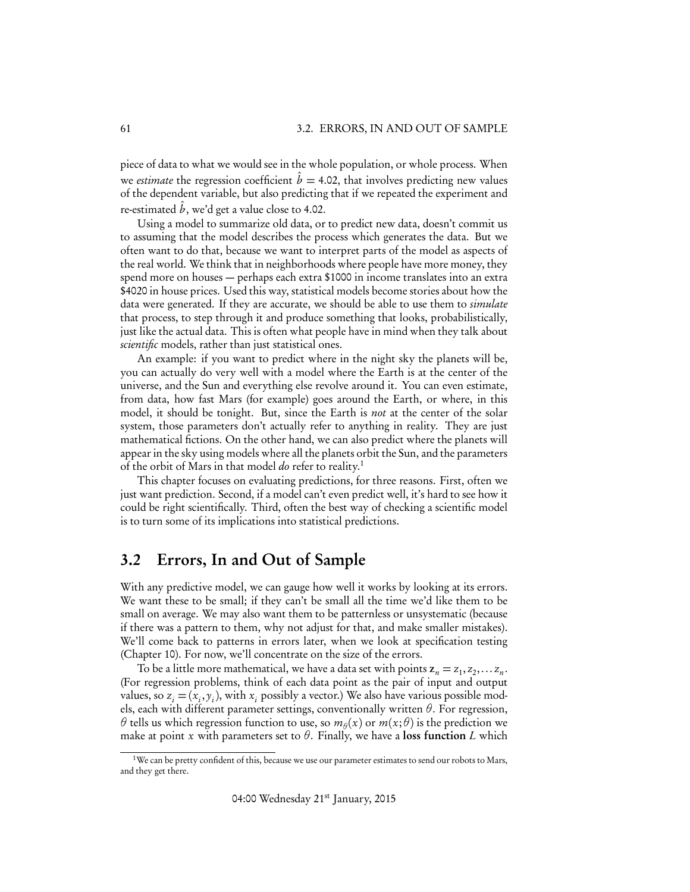piece of data to what we would see in the whole population, or whole process. When we *estimate* the regression coefficient  $b = 4.02$ , that involves predicting new values of the dependent variable, but also predicting that if we repeated the experiment and re-estimated  $\hat{b}$ , we'd get a value close to 4.02.

Using a model to summarize old data, or to predict new data, doesn't commit us to assuming that the model describes the process which generates the data. But we often want to do that, because we want to interpret parts of the model as aspects of the real world. We think that in neighborhoods where people have more money, they spend more on houses — perhaps each extra \$1000 in income translates into an extra \$4020 in house prices. Used this way, statistical models become stories about how the data were generated. If they are accurate, we should be able to use them to *simulate* that process, to step through it and produce something that looks, probabilistically, just like the actual data. This is often what people have in mind when they talk about *scientific* models, rather than just statistical ones.

An example: if you want to predict where in the night sky the planets will be, you can actually do very well with a model where the Earth is at the center of the universe, and the Sun and everything else revolve around it. You can even estimate, from data, how fast Mars (for example) goes around the Earth, or where, in this model, it should be tonight. But, since the Earth is *not* at the center of the solar system, those parameters don't actually refer to anything in reality. They are just mathematical fictions. On the other hand, we can also predict where the planets will appear in the sky using models where all the planets orbit the Sun, and the parameters of the orbit of Mars in that model *do* refer to reality.<sup>1</sup>

This chapter focuses on evaluating predictions, for three reasons. First, often we just want prediction. Second, if a model can't even predict well, it's hard to see how it could be right scientifically. Third, often the best way of checking a scientific model is to turn some of its implications into statistical predictions.

## 3.2 Errors, In and Out of Sample

With any predictive model, we can gauge how well it works by looking at its errors. We want these to be small; if they can't be small all the time we'd like them to be small on average. We may also want them to be patternless or unsystematic (because if there was a pattern to them, why not adjust for that, and make smaller mistakes). We'll come back to patterns in errors later, when we look at specification testing (Chapter 10). For now, we'll concentrate on the size of the errors.

To be a little more mathematical, we have a data set with points  $z_n = z_1, z_2, \ldots z_n$ . (For regression problems, think of each data point as the pair of input and output values, so  $z_i = (x_i, y_i)$ , with  $x_i$  possibly a vector.) We also have various possible models, each with different parameter settings, conventionally written  $\theta$ . For regression,  $\theta$  tells us which regression function to use, so  $m_{\theta}(x)$  or  $m(x;\theta)$  is the prediction we make at point *x* with parameters set to  $\theta$ . Finally, we have a loss function *L* which

 $1$ We can be pretty confident of this, because we use our parameter estimates to send our robots to Mars, and they get there.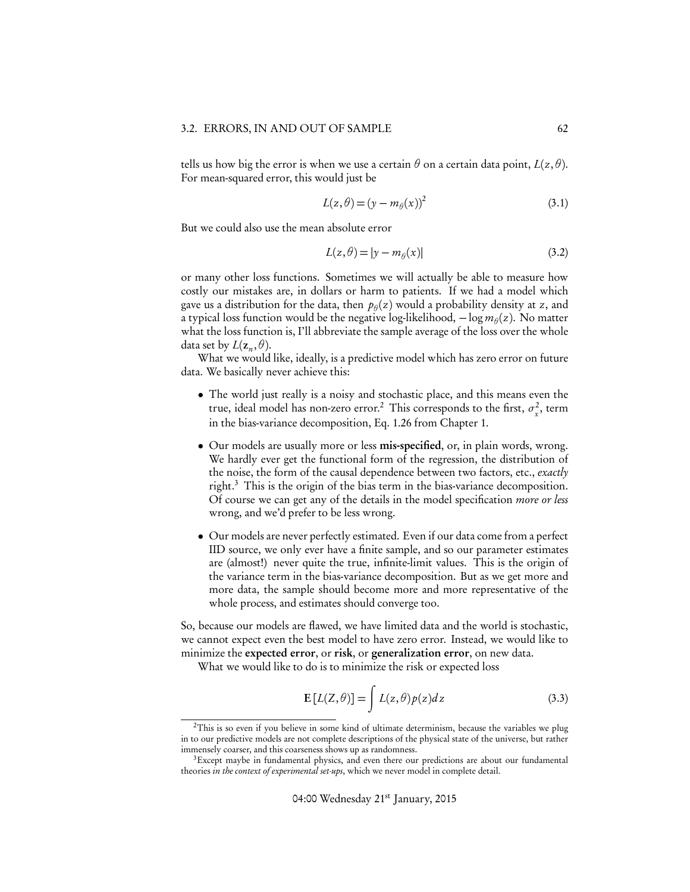tells us how big the error is when we use a certain  $\theta$  on a certain data point,  $L(z, \theta)$ . For mean-squared error, this would just be

$$
L(z,\theta) = (y - m_{\theta}(x))^2
$$
\n(3.1)

But we could also use the mean absolute error

$$
L(z, \theta) = |y - m_{\theta}(x)| \tag{3.2}
$$

or many other loss functions. Sometimes we will actually be able to measure how costly our mistakes are, in dollars or harm to patients. If we had a model which gave us a distribution for the data, then  $p_\theta(z)$  would a probability density at *z*, and a typical loss function would be the negative log-likelihood,  $-\log m_\theta(z)$ . No matter what the loss function is, I'll abbreviate the sample average of the loss over the whole data set by  $L(\mathbf{z}_n, \theta)$ .

What we would like, ideally, is a predictive model which has zero error on future data. We basically never achieve this:

- *•* The world just really is a noisy and stochastic place, and this means even the true, ideal model has non-zero error.<sup>2</sup> This corresponds to the first,  $\sigma_x^2$ , term in the bias-variance decomposition, Eq. 1.26 from Chapter 1.
- Our models are usually more or less mis-specified, or, in plain words, wrong. We hardly ever get the functional form of the regression, the distribution of the noise, the form of the causal dependence between two factors, etc., *exactly* right.<sup>3</sup> This is the origin of the bias term in the bias-variance decomposition. Of course we can get any of the details in the model specification *more or less* wrong, and we'd prefer to be less wrong.
- *•* Our models are never perfectly estimated. Even if our data come from a perfect IID source, we only ever have a finite sample, and so our parameter estimates are (almost!) never quite the true, infinite-limit values. This is the origin of the variance term in the bias-variance decomposition. But as we get more and more data, the sample should become more and more representative of the whole process, and estimates should converge too.

So, because our models are flawed, we have limited data and the world is stochastic, we cannot expect even the best model to have zero error. Instead, we would like to minimize the expected error, or risk, or generalization error, on new data.

What we would like to do is to minimize the risk or expected loss

$$
\mathbf{E}\left[L(Z,\theta)\right] = \int L(z,\theta)p(z)dz\tag{3.3}
$$

<sup>&</sup>lt;sup>2</sup>This is so even if you believe in some kind of ultimate determinism, because the variables we plug in to our predictive models are not complete descriptions of the physical state of the universe, but rather immensely coarser, and this coarseness shows up as randomness.

<sup>&</sup>lt;sup>3</sup>Except maybe in fundamental physics, and even there our predictions are about our fundamental theories *in the context of experimental set-ups*, which we never model in complete detail.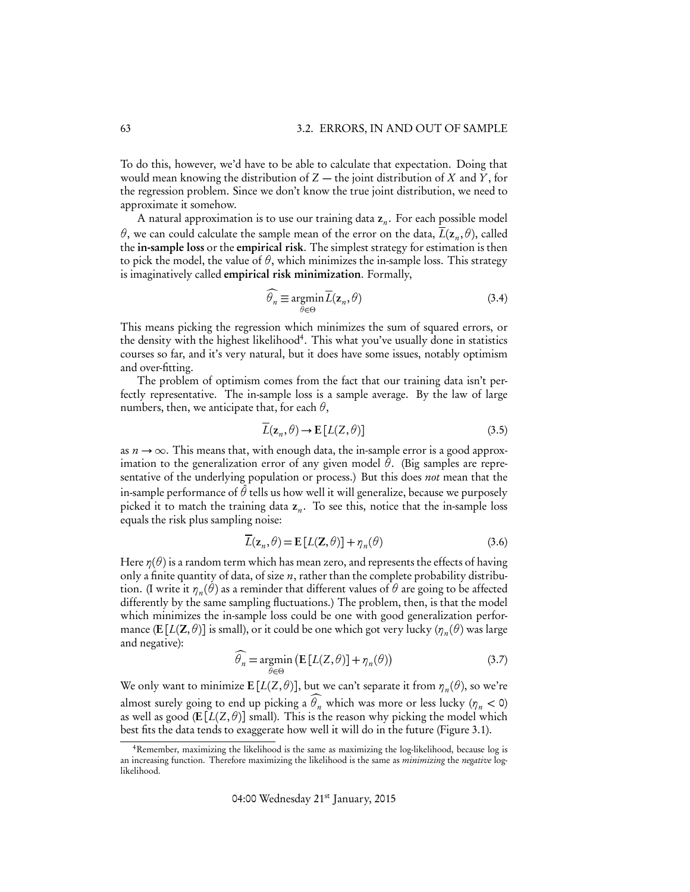To do this, however, we'd have to be able to calculate that expectation. Doing that would mean knowing the distribution of *Z* — the joint distribution of *X* and *Y*, for the regression problem. Since we don't know the true joint distribution, we need to approximate it somehow.

A natural approximation is to use our training data z*n*. For each possible model  $\theta$ , we can could calculate the sample mean of the error on the data,  $L(\mathbf{z}_n, \theta)$ , called the in-sample loss or the empirical risk. The simplest strategy for estimation is then to pick the model, the value of  $\theta$ , which minimizes the in-sample loss. This strategy is imaginatively called empirical risk minimization. Formally,

$$
\widehat{\theta_n} \equiv \underset{\theta \in \Theta}{\operatorname{argmin}} \,\overline{L}(\mathbf{z}_n, \theta) \tag{3.4}
$$

This means picking the regression which minimizes the sum of squared errors, or the density with the highest likelihood<sup>4</sup>. This what you've usually done in statistics courses so far, and it's very natural, but it does have some issues, notably optimism and over-fitting.

The problem of optimism comes from the fact that our training data isn't perfectly representative. The in-sample loss is a sample average. By the law of large numbers, then, we anticipate that, for each  $\theta$ ,

$$
\overline{L}(\mathbf{z}_n, \theta) \to \mathbf{E}\left[L(Z, \theta)\right] \tag{3.5}
$$

as  $n \to \infty$ . This means that, with enough data, the in-sample error is a good approximation to the generalization error of any given model  $\theta$ . (Big samples are representative of the underlying population or process.) But this does *not* mean that the in-sample performance of  $\hat{\theta}$  tells us how well it will generalize, because we purposely picked it to match the training data  $z_n$ . To see this, notice that the in-sample loss equals the risk plus sampling noise:

$$
L(\mathbf{z}_n, \theta) = \mathbf{E}\left[L(\mathbf{Z}, \theta)\right] + \eta_n(\theta) \tag{3.6}
$$

Here  $\eta(\theta)$  is a random term which has mean zero, and represents the effects of having only a finite quantity of data, of size *n*, rather than the complete probability distribution. (I write it  $\eta_n(\theta)$  as a reminder that different values of  $\theta$  are going to be affected differently by the same sampling fluctuations.) The problem, then, is that the model which minimizes the in-sample loss could be one with good generalization performance (E[*L*(**Z**, $\theta$ )] is small), or it could be one which got very lucky ( $\eta_n(\theta)$  was large and negative):

$$
\widehat{\theta_n} = \underset{\theta \in \Theta}{\text{argmin}} \left( \mathbb{E} \left[ L(Z, \theta) \right] + \eta_n(\theta) \right) \tag{3.7}
$$

We only want to minimize  $E[L(Z, \theta)],$  but we can't separate it from  $\eta_n(\theta)$ , so we're almost surely going to end up picking a  $\theta_n$  which was more or less lucky ( $\eta_n < 0$ ) as well as good ( $E[L(Z, \theta)]$  small). This is the reason why picking the model which best fits the data tends to exaggerate how well it will do in the future (Figure 3.1).

<sup>&</sup>lt;sup>4</sup>Remember, maximizing the likelihood is the same as maximizing the log-likelihood, because log is an increasing function. Therefore maximizing the likelihood is the same as *minimizing* the *negative* loglikelihood.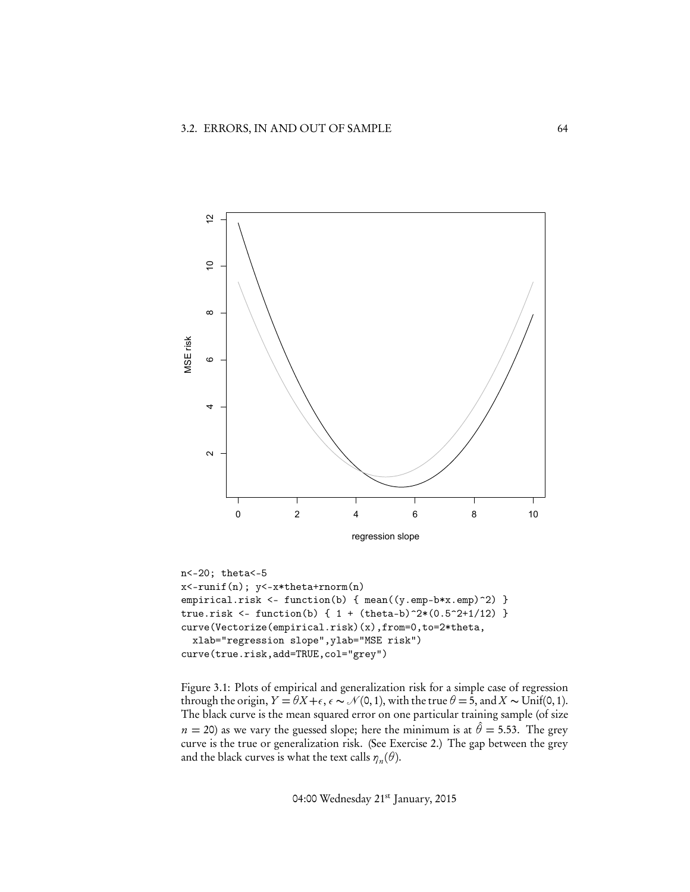

```
empirical.risk <- function(b) { mean((y.emp-b*x.emp)^2) }
true.risk <- function(b) { 1 + (theta-b)^2*(0.5^2+1/12) }
curve(Vectorize(empirical.risk)(x),from=0,to=2*theta,
 xlab="regression slope",ylab="MSE risk")
curve(true.risk,add=TRUE,col="grey")
```
Figure 3.1: Plots of empirical and generalization risk for a simple case of regression through the origin,  $Y = \theta X + \epsilon$ ,  $\epsilon \sim \mathcal{N}(0, 1)$ , with the true  $\theta = 5$ , and  $X \sim \text{Unif}(0, 1)$ . The black curve is the mean squared error on one particular training sample (of size  $n=$  20) as we vary the guessed slope; here the minimum is at  $\hat{\theta}=$  5.53. The grey curve is the true or generalization risk. (See Exercise 2.) The gap between the grey and the black curves is what the text calls  $\eta_n(\theta)$ .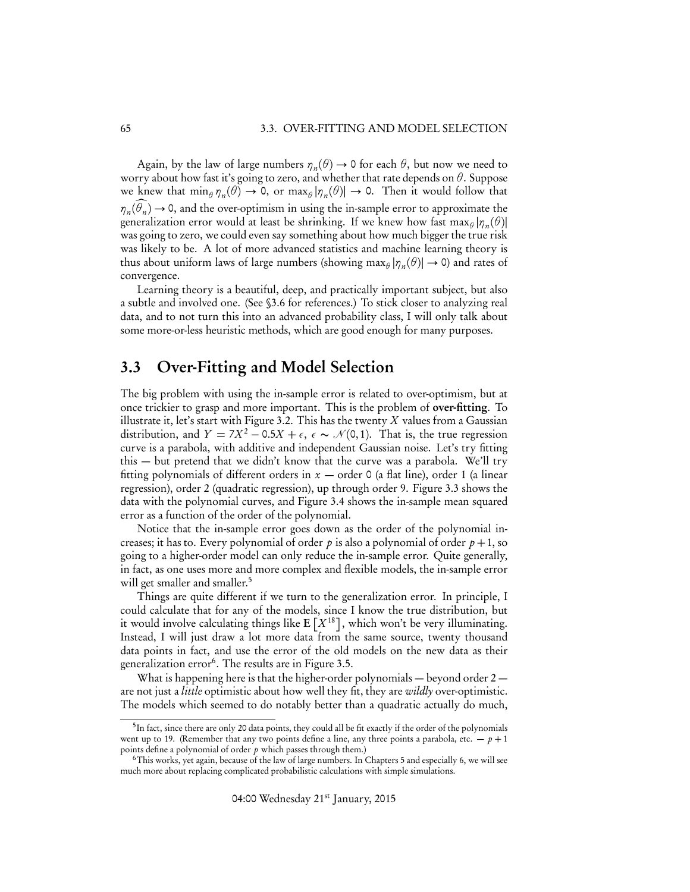Again, by the law of large numbers  $\eta_n(\theta) \to 0$  for each  $\theta$ , but now we need to worry about how fast it's going to zero, and whether that rate depends on *θ*. Suppose we knew that  $\min_{\theta} \eta_n(\theta) \to 0$ , or  $\max_{\theta} |\eta_n(\theta)| \to 0$ . Then it would follow that  $\eta_n(\theta_n) \to 0$ , and the over-optimism in using the in-sample error to approximate the generalization error would at least be shrinking. If we knew how fast max<sub> $\theta$ </sub> | $\eta_n(\theta)$ | was going to zero, we could even say something about how much bigger the true risk was likely to be. A lot of more advanced statistics and machine learning theory is thus about uniform laws of large numbers (showing max<sub> $\beta$ </sub> | $\eta_n(\theta)$ |  $\rightarrow$  0) and rates of convergence.

Learning theory is a beautiful, deep, and practically important subject, but also a subtle and involved one. (See §3.6 for references.) To stick closer to analyzing real data, and to not turn this into an advanced probability class, I will only talk about some more-or-less heuristic methods, which are good enough for many purposes.

## 3.3 Over-Fitting and Model Selection

The big problem with using the in-sample error is related to over-optimism, but at once trickier to grasp and more important. This is the problem of over-fitting. To illustrate it, let's start with Figure 3.2. This has the twenty  $X$  values from a Gaussian distribution, and  $Y = 7X^2 - 0.5X + \epsilon$ ,  $\epsilon \sim \mathcal{N}(0, 1)$ . That is, the true regression curve is a parabola, with additive and independent Gaussian noise. Let's try fitting this — but pretend that we didn't know that the curve was a parabola. We'll try fitting polynomials of different orders in *x* — order 0 (a flat line), order 1 (a linear regression), order 2 (quadratic regression), up through order 9. Figure 3.3 shows the data with the polynomial curves, and Figure 3.4 shows the in-sample mean squared error as a function of the order of the polynomial.

Notice that the in-sample error goes down as the order of the polynomial increases; it has to. Every polynomial of order  $p$  is also a polynomial of order  $p + 1$ , so going to a higher-order model can only reduce the in-sample error. Quite generally, in fact, as one uses more and more complex and flexible models, the in-sample error will get smaller and smaller.<sup>5</sup>

Things are quite different if we turn to the generalization error. In principle, I could calculate that for any of the models, since I know the true distribution, but it would involve calculating things like  $E[X^{18}]$ , which won't be very illuminating. Instead, I will just draw a lot more data from the same source, twenty thousand data points in fact, and use the error of the old models on the new data as their generalization error<sup>6</sup>. The results are in Figure 3.5.

What is happening here is that the higher-order polynomials — beyond order 2 are not just a *little* optimistic about how well they fit, they are *wildly* over-optimistic. The models which seemed to do notably better than a quadratic actually do much,

 $5$ In fact, since there are only 20 data points, they could all be fit exactly if the order of the polynomials went up to 19. (Remember that any two points define a line, any three points a parabola, etc.  $-p+1$ points define a polynomial of order *p* which passes through them.)

<sup>6</sup>This works, yet again, because of the law of large numbers. In Chapters 5 and especially 6, we will see much more about replacing complicated probabilistic calculations with simple simulations.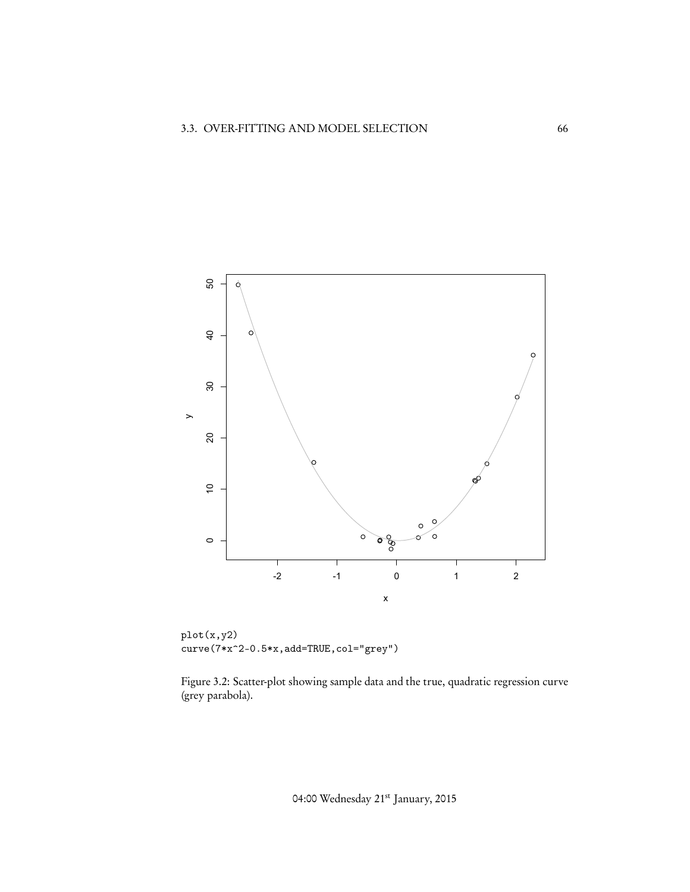

plot(x,y2) curve(7\*x^2-0.5\*x,add=TRUE,col="grey")

Figure 3.2: Scatter-plot showing sample data and the true, quadratic regression curve (grey parabola).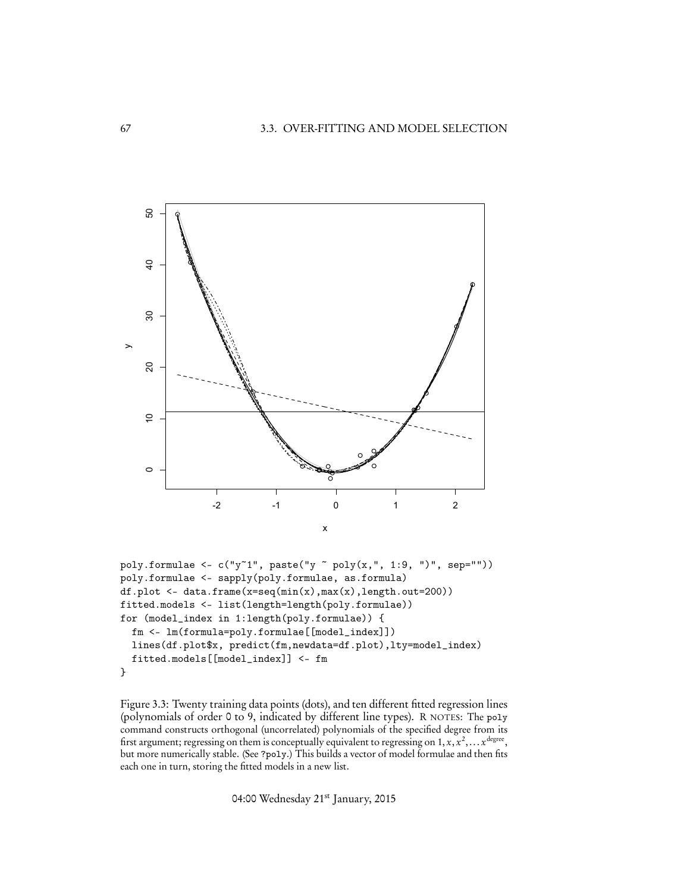

```
poly.formulae <- sapply(poly.formulae, as.formula)
df.plot \leq- data.frame(x=seq(min(x),max(x),length.out=200))
fitted.models <- list(length=length(poly.formulae))
for (model_index in 1:length(poly.formulae)) {
  fm <- lm(formula=poly.formulae[[model_index]])
  lines(df.plot$x, predict(fm,newdata=df.plot),lty=model_index)
  fitted.models[[model_index]] <- fm
}
```
Figure 3.3: Twenty training data points (dots), and ten different fitted regression lines (polynomials of order 0 to 9, indicated by different line types). R NOTES: The poly command constructs orthogonal (uncorrelated) polynomials of the specified degree from its first argument; regressing on them is conceptually equivalent to regressing on  $1, x, x^2, \ldots x^{\text{degree}}$ , but more numerically stable. (See ?poly.) This builds a vector of model formulae and then fits each one in turn, storing the fitted models in a new list.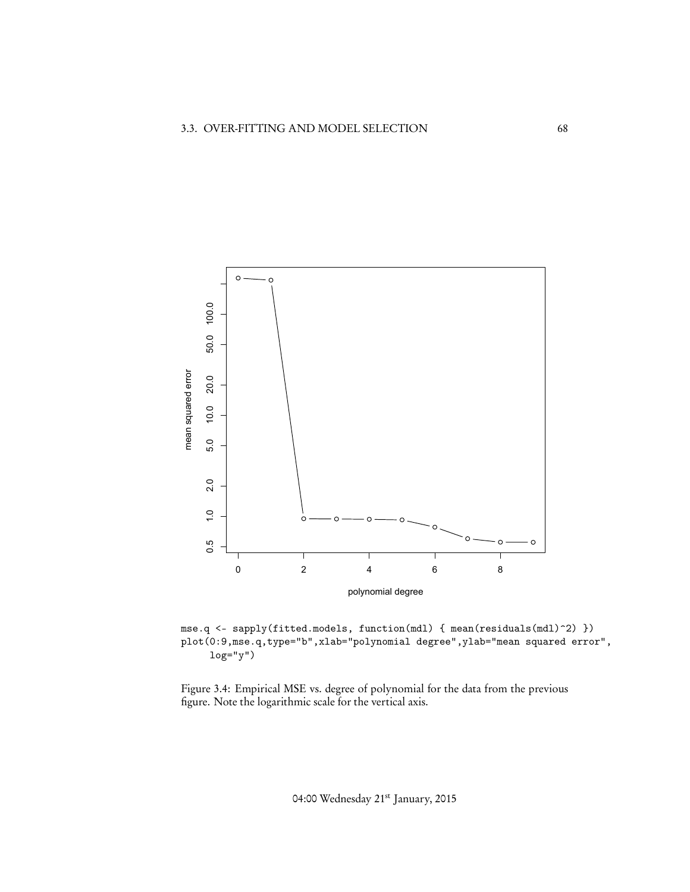

mse.q <- sapply(fitted.models, function(mdl) { mean(residuals(mdl)^2) }) plot(0:9,mse.q,type="b",xlab="polynomial degree",ylab="mean squared error", log="y")

Figure 3.4: Empirical MSE vs. degree of polynomial for the data from the previous figure. Note the logarithmic scale for the vertical axis.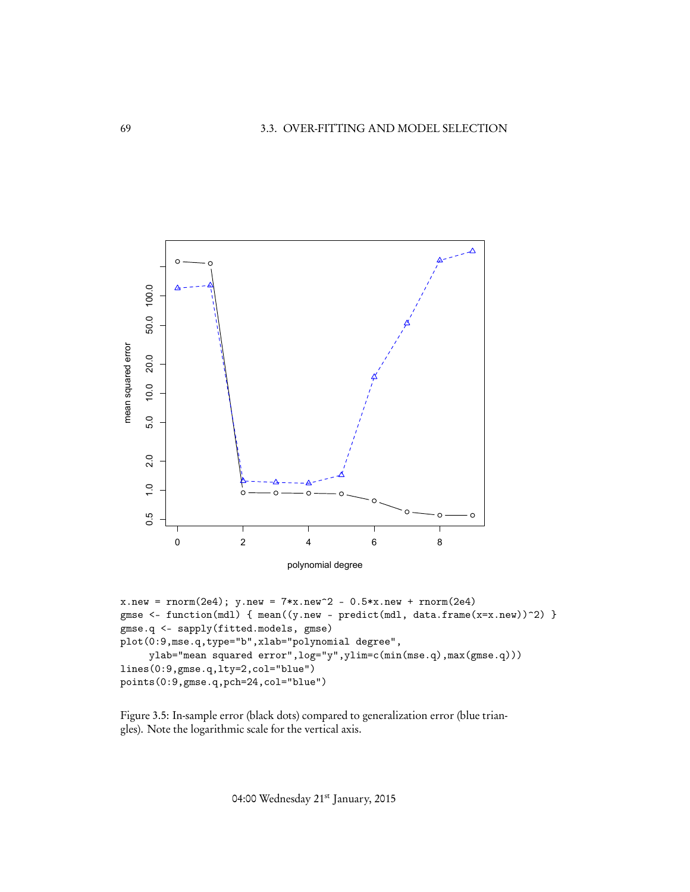

points(0:9,gmse.q,pch=24,col="blue")

Figure 3.5: In-sample error (black dots) compared to generalization error (blue triangles). Note the logarithmic scale for the vertical axis.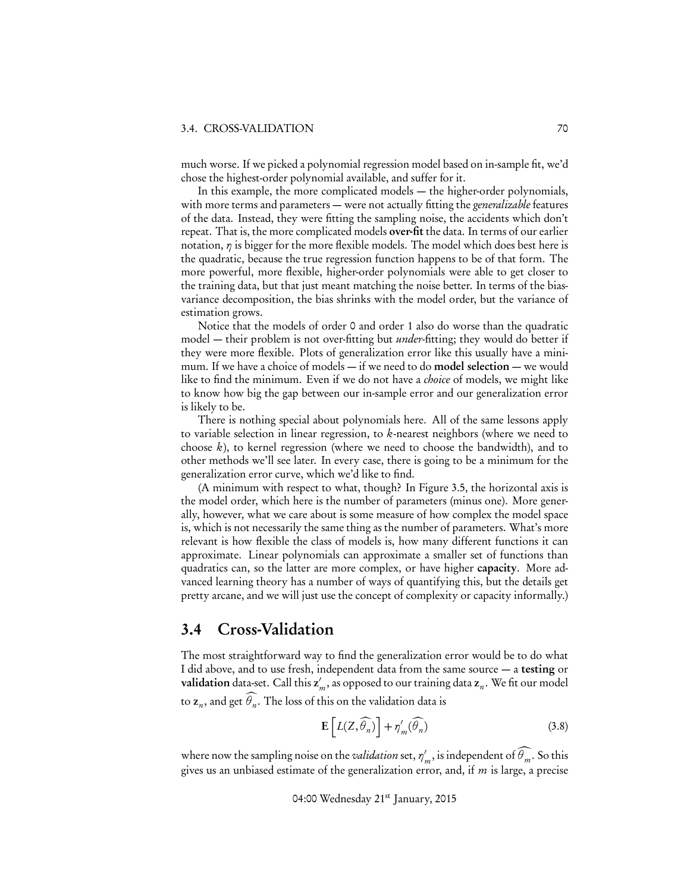much worse. If we picked a polynomial regression model based on in-sample fit, we'd chose the highest-order polynomial available, and suffer for it.

In this example, the more complicated models — the higher-order polynomials, with more terms and parameters — were not actually fitting the *generalizable* features of the data. Instead, they were fitting the sampling noise, the accidents which don't repeat. That is, the more complicated models over-fit the data. In terms of our earlier notation,  $\eta$  is bigger for the more flexible models. The model which does best here is the quadratic, because the true regression function happens to be of that form. The more powerful, more flexible, higher-order polynomials were able to get closer to the training data, but that just meant matching the noise better. In terms of the biasvariance decomposition, the bias shrinks with the model order, but the variance of estimation grows.

Notice that the models of order 0 and order 1 also do worse than the quadratic model — their problem is not over-fitting but *under*-fitting; they would do better if they were more flexible. Plots of generalization error like this usually have a minimum. If we have a choice of models — if we need to do model selection — we would like to find the minimum. Even if we do not have a *choice* of models, we might like to know how big the gap between our in-sample error and our generalization error is likely to be.

There is nothing special about polynomials here. All of the same lessons apply to variable selection in linear regression, to *k*-nearest neighbors (where we need to choose *k*), to kernel regression (where we need to choose the bandwidth), and to other methods we'll see later. In every case, there is going to be a minimum for the generalization error curve, which we'd like to find.

(A minimum with respect to what, though? In Figure 3.5, the horizontal axis is the model order, which here is the number of parameters (minus one). More generally, however, what we care about is some measure of how complex the model space is, which is not necessarily the same thing as the number of parameters. What's more relevant is how flexible the class of models is, how many different functions it can approximate. Linear polynomials can approximate a smaller set of functions than quadratics can, so the latter are more complex, or have higher capacity. More advanced learning theory has a number of ways of quantifying this, but the details get pretty arcane, and we will just use the concept of complexity or capacity informally.)

## 3.4 Cross-Validation

The most straightforward way to find the generalization error would be to do what I did above, and to use fresh, independent data from the same source — a testing or **validation** data-set. Call this  $\mathbf{z}'_m$ , as opposed to our training data  $\mathbf{z}_n$ . We fit our model to  $z_n$ , and get  $\theta_n$ . The loss of this on the validation data is

$$
\mathbf{E}\left[L(Z,\widehat{\theta_n})\right] + \eta'_m(\widehat{\theta_n})\tag{3.8}
$$

where now the sampling noise on the *validation* set,  $\eta_m'$ , is independent of  $\theta_m$ . So this gives us an unbiased estimate of the generalization error, and, if *m* is large, a precise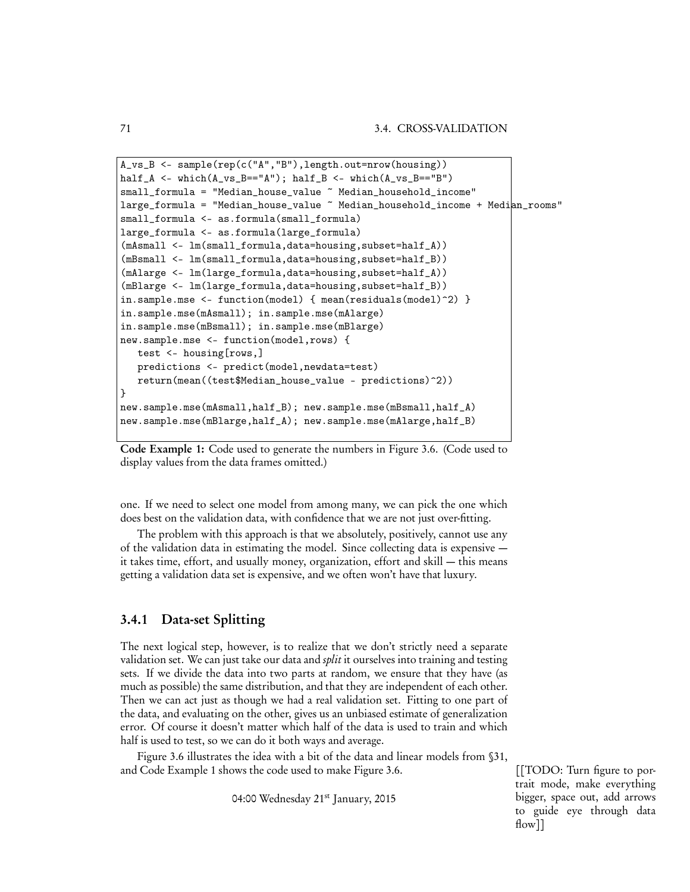```
A_vs_B <- sample(rep(c("A","B"),length.out=nrow(housing))
half_A <- which(A_vvs_B=="A"); half_B <- which(A_vvs_B=="B")
small_formula = "Median_house_value ~ Median_household_income"
large_formula = "Median_house_value ~ Median_household_income + Median_rooms"
small_formula <- as.formula(small_formula)
large_formula <- as.formula(large_formula)
(mAsmall <- lm(small_formula,data=housing,subset=half_A))
(mBsmall <- lm(small_formula,data=housing,subset=half_B))
(mAlarge <- lm(large_formula,data=housing,subset=half_A))
(mBlarge <- lm(large_formula,data=housing,subset=half_B))
in.sample.mse <- function(model) { mean(residuals(model)^2) }
in.sample.mse(mAsmall); in.sample.mse(mAlarge)
in.sample.mse(mBsmall); in.sample.mse(mBlarge)
new.sample.mse <- function(model,rows) {
   test <- housing[rows,]
   predictions <- predict(model,newdata=test)
   return(mean((test$Median_house_value - predictions)^2))
}
new.sample.mse(mAsmall,half_B); new.sample.mse(mBsmall,half_A)
new.sample.mse(mBlarge,half_A); new.sample.mse(mAlarge,half_B)
```
Code Example 1: Code used to generate the numbers in Figure 3.6. (Code used to display values from the data frames omitted.)

one. If we need to select one model from among many, we can pick the one which does best on the validation data, with confidence that we are not just over-fitting.

The problem with this approach is that we absolutely, positively, cannot use any of the validation data in estimating the model. Since collecting data is expensive it takes time, effort, and usually money, organization, effort and skill — this means getting a validation data set is expensive, and we often won't have that luxury.

## 3.4.1 Data-set Splitting

The next logical step, however, is to realize that we don't strictly need a separate validation set. We can just take our data and *split* it ourselves into training and testing sets. If we divide the data into two parts at random, we ensure that they have (as much as possible) the same distribution, and that they are independent of each other. Then we can act just as though we had a real validation set. Fitting to one part of the data, and evaluating on the other, gives us an unbiased estimate of generalization error. Of course it doesn't matter which half of the data is used to train and which half is used to test, so we can do it both ways and average.

Figure 3.6 illustrates the idea with a bit of the data and linear models from §31, and Code Example 1 shows the code used to make Figure 3.6. [[TODO: Turn figure to por-

04:00 Wednesday 21<sup>st</sup> January, 2015

trait mode, make everything bigger, space out, add arrows to guide eye through data flow]]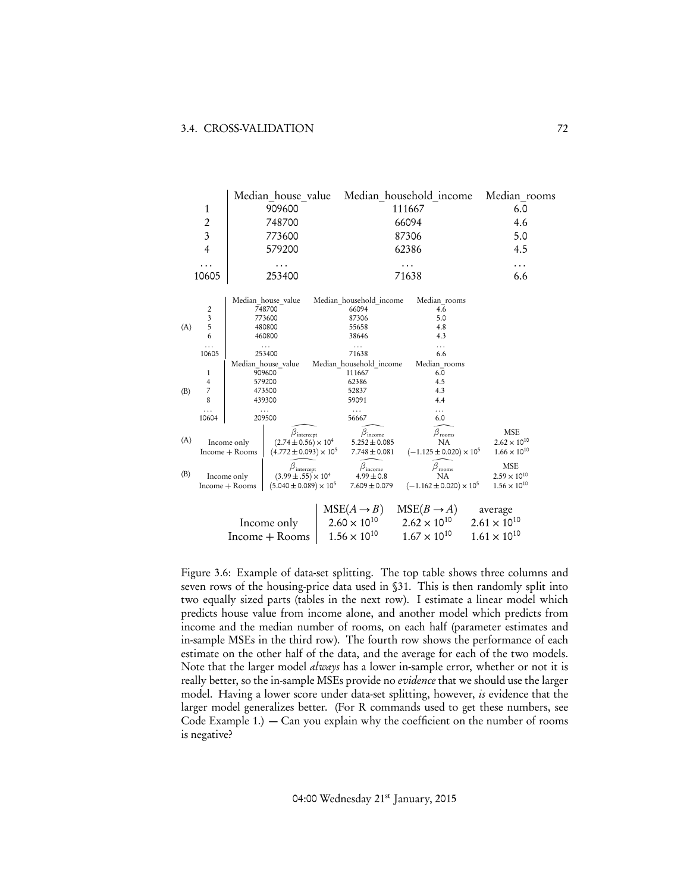

Figure 3.6: Example of data-set splitting. The top table shows three columns and seven rows of the housing-price data used in §31. This is then randomly split into two equally sized parts (tables in the next row). I estimate a linear model which predicts house value from income alone, and another model which predicts from income and the median number of rooms, on each half (parameter estimates and in-sample MSEs in the third row). The fourth row shows the performance of each estimate on the other half of the data, and the average for each of the two models. Note that the larger model *always* has a lower in-sample error, whether or not it is really better, so the in-sample MSEs provide no *evidence* that we should use the larger model. Having a lower score under data-set splitting, however, *is* evidence that the larger model generalizes better. (For R commands used to get these numbers, see Code Example 1.)  $-$  Can you explain why the coefficient on the number of rooms is negative?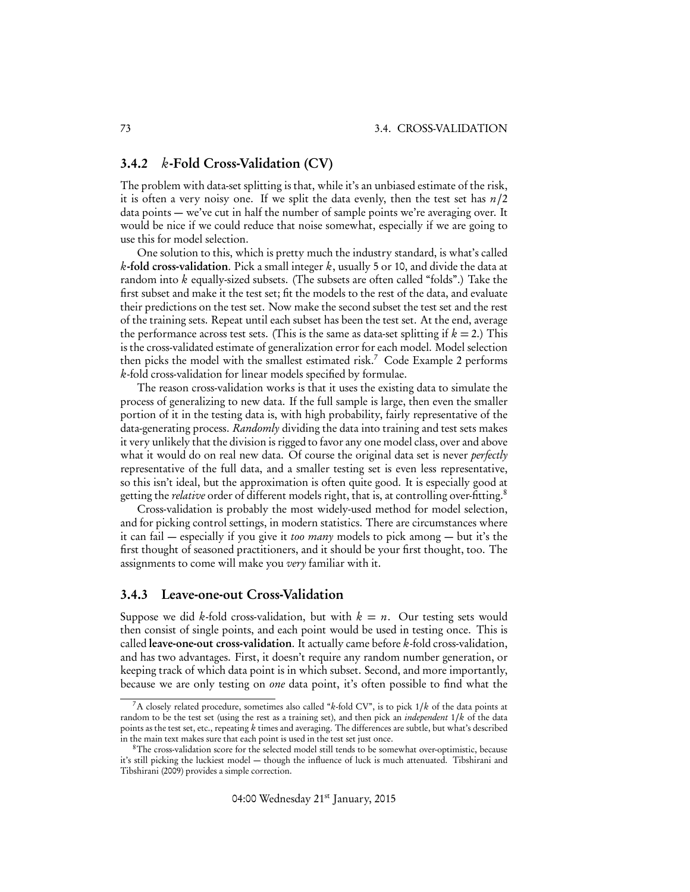#### 3.4.2 *k*-Fold Cross-Validation (CV)

The problem with data-set splitting is that, while it's an unbiased estimate of the risk, it is often a very noisy one. If we split the data evenly, then the test set has *n/*2 data points — we've cut in half the number of sample points we're averaging over. It would be nice if we could reduce that noise somewhat, especially if we are going to use this for model selection.

One solution to this, which is pretty much the industry standard, is what's called *k*-fold cross-validation. Pick a small integer *k*, usually 5 or 10, and divide the data at random into *k* equally-sized subsets. (The subsets are often called "folds".) Take the first subset and make it the test set; fit the models to the rest of the data, and evaluate their predictions on the test set. Now make the second subset the test set and the rest of the training sets. Repeat until each subset has been the test set. At the end, average the performance across test sets. (This is the same as data-set splitting if  $k = 2$ .) This is the cross-validated estimate of generalization error for each model. Model selection then picks the model with the smallest estimated risk.<sup>7</sup> Code Example 2 performs *k*-fold cross-validation for linear models specified by formulae.

The reason cross-validation works is that it uses the existing data to simulate the process of generalizing to new data. If the full sample is large, then even the smaller portion of it in the testing data is, with high probability, fairly representative of the data-generating process. *Randomly* dividing the data into training and test sets makes it very unlikely that the division is rigged to favor any one model class, over and above what it would do on real new data. Of course the original data set is never *perfectly* representative of the full data, and a smaller testing set is even less representative, so this isn't ideal, but the approximation is often quite good. It is especially good at getting the *relative* order of different models right, that is, at controlling over-fitting.<sup>8</sup>

Cross-validation is probably the most widely-used method for model selection, and for picking control settings, in modern statistics. There are circumstances where it can fail — especially if you give it *too many* models to pick among — but it's the first thought of seasoned practitioners, and it should be your first thought, too. The assignments to come will make you *very* familiar with it.

#### 3.4.3 Leave-one-out Cross-Validation

Suppose we did *k*-fold cross-validation, but with  $k = n$ . Our testing sets would then consist of single points, and each point would be used in testing once. This is called leave-one-out cross-validation. It actually came before *k*-fold cross-validation, and has two advantages. First, it doesn't require any random number generation, or keeping track of which data point is in which subset. Second, and more importantly, because we are only testing on *one* data point, it's often possible to find what the

<sup>7</sup>A closely related procedure, sometimes also called "*k*-fold CV", is to pick 1*/k* of the data points at random to be the test set (using the rest as a training set), and then pick an *independent* 1*/k* of the data points as the test set, etc., repeating *k* times and averaging. The differences are subtle, but what's described in the main text makes sure that each point is used in the test set just once.

 ${}^{8}$ The cross-validation score for the selected model still tends to be somewhat over-optimistic, because it's still picking the luckiest model — though the influence of luck is much attenuated. Tibshirani and Tibshirani (2009) provides a simple correction.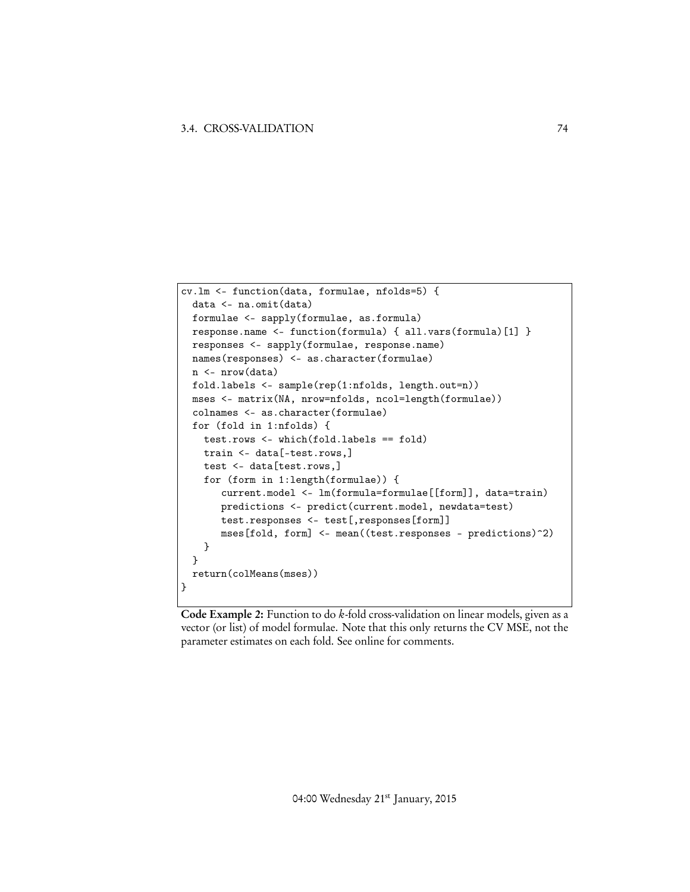```
cv.lm <- function(data, formulae, nfolds=5) {
  data <- na.omit(data)
  formulae <- sapply(formulae, as.formula)
  response.name <- function(formula) { all.vars(formula)[1] }
  responses <- sapply(formulae, response.name)
  names(responses) <- as.character(formulae)
  n <- nrow(data)
  fold.labels <- sample(rep(1:nfolds, length.out=n))
  mses <- matrix(NA, nrow=nfolds, ncol=length(formulae))
  colnames <- as.character(formulae)
  for (fold in 1:nfolds) {
    test.rows <- which(fold.labels == fold)
    train <- data[-test.rows,]
    test <- data[test.rows,]
    for (form in 1:length(formulae)) {
       current.model <- lm(formula=formulae[[form]], data=train)
       predictions <- predict(current.model, newdata=test)
       test.responses <- test[,responses[form]]
       mses[fold, form] <- mean((test.responses - predictions)^2)
    }
  }
  return(colMeans(mses))
}
```
Code Example 2: Function to do *k*-fold cross-validation on linear models, given as a vector (or list) of model formulae. Note that this only returns the CV MSE, not the parameter estimates on each fold. See online for comments.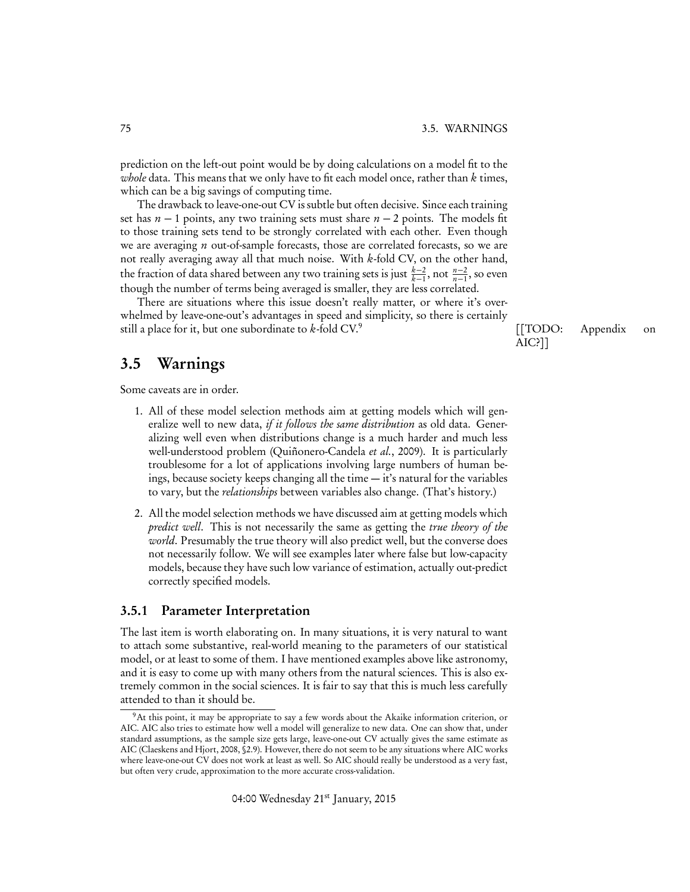prediction on the left-out point would be by doing calculations on a model fit to the *whole* data. This means that we only have to fit each model once, rather than *k* times, which can be a big savings of computing time.

The drawback to leave-one-out CV is subtle but often decisive. Since each training set has  $n - 1$  points, any two training sets must share  $n - 2$  points. The models fit to those training sets tend to be strongly correlated with each other. Even though we are averaging *n* out-of-sample forecasts, those are correlated forecasts, so we are not really averaging away all that much noise. With *k*-fold CV, on the other hand, the fraction of data shared between any two training sets is just  $\frac{k-2}{k-1}$ , not  $\frac{n-2}{n-1}$ , so even though the number of terms being averaged is smaller, they are less correlated.

There are situations where this issue doesn't really matter, or where it's overwhelmed by leave-one-out's advantages in speed and simplicity, so there is certainly still a place for it, but one subordinate to *k*-fold CV.9 [[TODO: Appendix on

#### 3.5 Warnings

Some caveats are in order.

- 1. All of these model selection methods aim at getting models which will generalize well to new data, *if it follows the same distribution* as old data. Generalizing well even when distributions change is a much harder and much less well-understood problem (Quiñonero-Candela *et al.*, 2009). It is particularly troublesome for a lot of applications involving large numbers of human beings, because society keeps changing all the time — it's natural for the variables to vary, but the *relationships* between variables also change. (That's history.)
- 2. All the model selection methods we have discussed aim at getting models which *predict well*. This is not necessarily the same as getting the *true theory of the world*. Presumably the true theory will also predict well, but the converse does not necessarily follow. We will see examples later where false but low-capacity models, because they have such low variance of estimation, actually out-predict correctly specified models.

#### 3.5.1 Parameter Interpretation

The last item is worth elaborating on. In many situations, it is very natural to want to attach some substantive, real-world meaning to the parameters of our statistical model, or at least to some of them. I have mentioned examples above like astronomy, and it is easy to come up with many others from the natural sciences. This is also extremely common in the social sciences. It is fair to say that this is much less carefully attended to than it should be.

AIC?]]

<sup>&</sup>lt;sup>9</sup>At this point, it may be appropriate to say a few words about the Akaike information criterion, or AIC. AIC also tries to estimate how well a model will generalize to new data. One can show that, under standard assumptions, as the sample size gets large, leave-one-out CV actually gives the same estimate as AIC (Claeskens and Hjort, 2008, §2.9). However, there do not seem to be any situations where AIC works where leave-one-out CV does not work at least as well. So AIC should really be understood as a very fast, but often very crude, approximation to the more accurate cross-validation.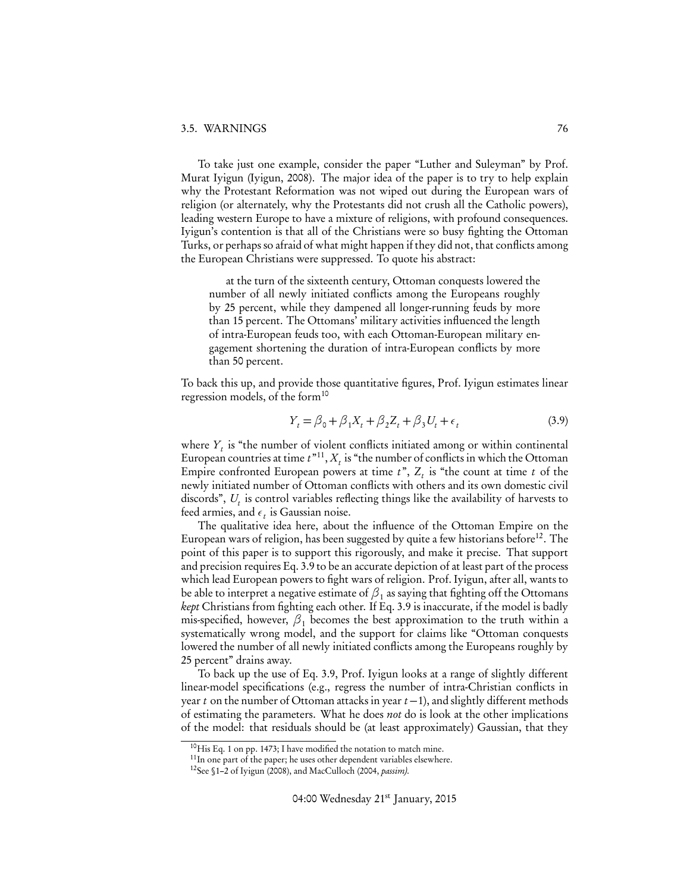To take just one example, consider the paper "Luther and Suleyman" by Prof. Murat Iyigun (Iyigun, 2008). The major idea of the paper is to try to help explain why the Protestant Reformation was not wiped out during the European wars of religion (or alternately, why the Protestants did not crush all the Catholic powers), leading western Europe to have a mixture of religions, with profound consequences. Iyigun's contention is that all of the Christians were so busy fighting the Ottoman Turks, or perhaps so afraid of what might happen if they did not, that conflicts among the European Christians were suppressed. To quote his abstract:

at the turn of the sixteenth century, Ottoman conquests lowered the number of all newly initiated conflicts among the Europeans roughly by 25 percent, while they dampened all longer-running feuds by more than 15 percent. The Ottomans' military activities influenced the length of intra-European feuds too, with each Ottoman-European military engagement shortening the duration of intra-European conflicts by more than 50 percent.

To back this up, and provide those quantitative figures, Prof. Iyigun estimates linear regression models, of the form<sup>10</sup>

$$
Y_t = \beta_0 + \beta_1 X_t + \beta_2 Z_t + \beta_3 U_t + \epsilon_t
$$
\n(3.9)

where  $Y_t$  is "the number of violent conflicts initiated among or within continental European countries at time  $t^{n11}$ ,  $X_t$  is "the number of conflicts in which the Ottoman Empire confronted European powers at time  $t^{\prime\prime}$ ,  $Z_t$  is "the count at time  $t$  of the newly initiated number of Ottoman conflicts with others and its own domestic civil discords", *Ut* is control variables reflecting things like the availability of harvests to feed armies, and  $\epsilon_t$  is Gaussian noise.

The qualitative idea here, about the influence of the Ottoman Empire on the European wars of religion, has been suggested by quite a few historians before $^{12}$ . The point of this paper is to support this rigorously, and make it precise. That support and precision requires Eq. 3.9 to be an accurate depiction of at least part of the process which lead European powers to fight wars of religion. Prof. Iyigun, after all, wants to be able to interpret a negative estimate of  $\beta_1$  as saying that fighting off the Ottomans *kept* Christians from fighting each other. If Eq. 3.9 is inaccurate, if the model is badly mis-specified, however,  $\beta_1$  becomes the best approximation to the truth within a systematically wrong model, and the support for claims like "Ottoman conquests lowered the number of all newly initiated conflicts among the Europeans roughly by 25 percent" drains away.

To back up the use of Eq. 3.9, Prof. Iyigun looks at a range of slightly different linear-model specifications (e.g., regress the number of intra-Christian conflicts in year  $t$  on the number of Ottoman attacks in year  $t-1$ ), and slightly different methods of estimating the parameters. What he does *not* do is look at the other implications of the model: that residuals should be (at least approximately) Gaussian, that they

<sup>&</sup>lt;sup>10</sup>His Eq. 1 on pp. 1473; I have modified the notation to match mine.

<sup>&</sup>lt;sup>11</sup>In one part of the paper; he uses other dependent variables elsewhere.

<sup>12</sup>See §1–2 of Iyigun (2008), and MacCulloch (2004, *passim)*.